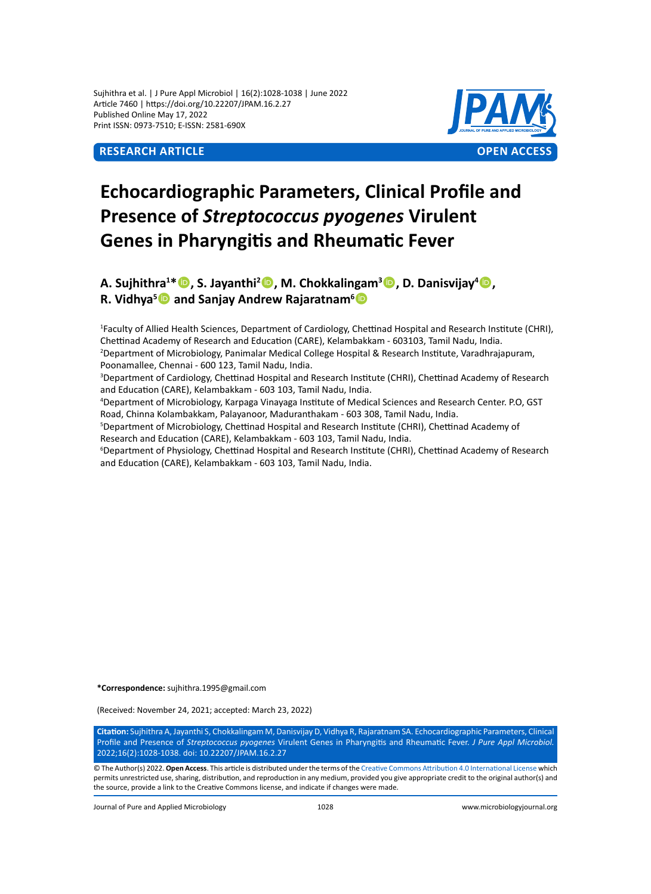Sujhithra et al. | J Pure Appl Microbiol | 16(2):1028-1038 | June 2022 Article 7460 | https://doi.org/10.22207/JPAM.16.2.27 Published Online May 17, 2022 Print ISSN: 0973-7510; E-ISSN: 2581-690X



# **Echocardiographic Parameters, Clinical Profile and Presence of** *Streptococcus pyogenes* **Virulent Genes in Pharyngitis and Rheumatic Fever**

**A. Sujhithra1 \*, S. Jayanthi2 , M. Chokkalingam3 , D. Danisvijay<sup>4</sup> ,** R. Vidhya<sup>s</sup> **D** and Sanjay Andrew Rajaratnam<sup>6</sup> D

1 Faculty of Allied Health Sciences, Department of Cardiology, Chettinad Hospital and Research Institute (CHRI), Chettinad Academy of Research and Education (CARE), Kelambakkam - 603103, Tamil Nadu, India. 2 Department of Microbiology, Panimalar Medical College Hospital & Research Institute, Varadhrajapuram, Poonamallee, Chennai - 600 123, Tamil Nadu, India.

3 Department of Cardiology, Chettinad Hospital and Research Institute (CHRI), Chettinad Academy of Research and Education (CARE), Kelambakkam - 603 103, Tamil Nadu, India.

4 Department of Microbiology, Karpaga Vinayaga Institute of Medical Sciences and Research Center. P.O, GST Road, Chinna Kolambakkam, Palayanoor, Maduranthakam - 603 308, Tamil Nadu, India.

5 Department of Microbiology, Chettinad Hospital and Research Institute (CHRI), Chettinad Academy of Research and Education (CARE), Kelambakkam - 603 103, Tamil Nadu, India.

6 Department of Physiology, Chettinad Hospital and Research Institute (CHRI), Chettinad Academy of Research and Education (CARE), Kelambakkam - 603 103, Tamil Nadu, India.

**\*Correspondence:** sujhithra.1995@gmail.com

(Received: November 24, 2021; accepted: March 23, 2022)

**Citation:** Sujhithra A, Jayanthi S, Chokkalingam M, Danisvijay D, Vidhya R, Rajaratnam SA. Echocardiographic Parameters, Clinical Profile and Presence of *Streptococcus pyogenes* Virulent Genes in Pharyngitis and Rheumatic Fever. *J Pure Appl Microbiol.* 2022;16(2):1028-1038. doi: 10.22207/JPAM.16.2.27

© The Author(s) 2022. **Open Access**. This article is distributed under the terms of the [Creative Commons Attribution 4.0 International License](https://creativecommons.org/licenses/by/4.0/) which permits unrestricted use, sharing, distribution, and reproduction in any medium, provided you give appropriate credit to the original author(s) and the source, provide a link to the Creative Commons license, and indicate if changes were made.

Journal of Pure and Applied Microbiology 1028 www.microbiologyjournal.org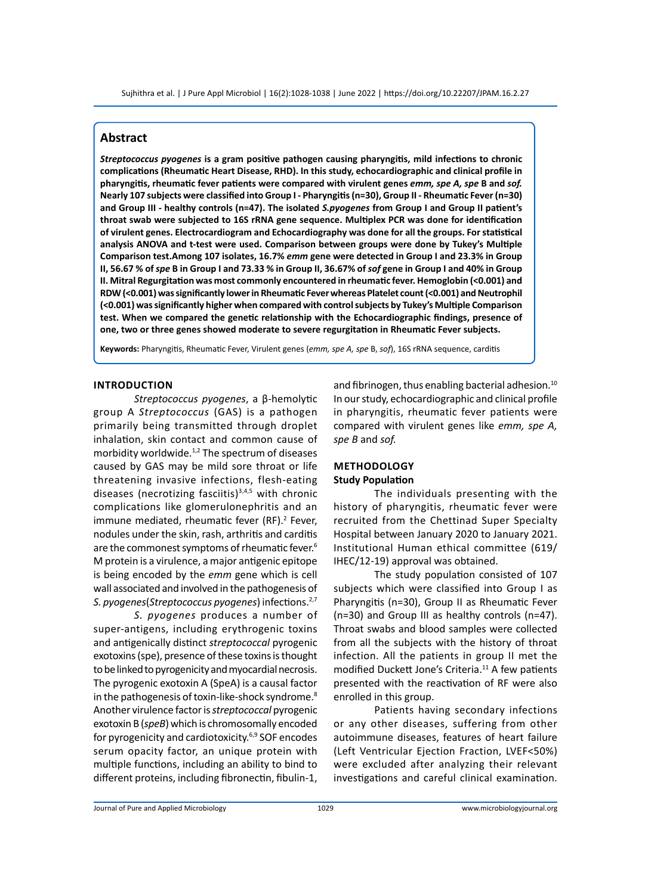# **Abstract**

*Streptococcus pyogenes* **is a gram positive pathogen causing pharyngitis, mild infections to chronic complications (Rheumatic Heart Disease, RHD). In this study, echocardiographic and clinical profile in pharyngitis, rheumatic fever patients were compared with virulent genes** *emm, spe A, spe* **B and** *sof.* **Nearly 107 subjects were classified into Group I - Pharyngitis (n=30), Group II - Rheumatic Fever (n=30) and Group III - healthy controls (n=47). The isolated** *S.pyogenes* **from Group I and Group II patient's throat swab were subjected to 16S rRNA gene sequence. Multiplex PCR was done for identification of virulent genes. Electrocardiogram and Echocardiography was done for all the groups. For statistical analysis ANOVA and t-test were used. Comparison between groups were done by Tukey's Multiple Comparison test.Among 107 isolates, 16.7%** *emm* **gene were detected in Group I and 23.3% in Group II, 56.67 % of** *spe* **B in Group I and 73.33 % in Group II, 36.67% of** *sof* **gene in Group I and 40% in Group II. Mitral Regurgitation was most commonly encountered in rheumatic fever. Hemoglobin (<0.001) and RDW (<0.001) was significantly lower in Rheumatic Fever whereas Platelet count (<0.001) and Neutrophil (<0.001) was significantly higher when compared with control subjects by Tukey's Multiple Comparison test. When we compared the genetic relationship with the Echocardiographic findings, presence of one, two or three genes showed moderate to severe regurgitation in Rheumatic Fever subjects.** 

**Keywords:** Pharyngitis, Rheumatic Fever, Virulent genes (*emm, spe A, spe* B, *sof*), 16S rRNA sequence, carditis

#### **Introduction**

*Streptococcus pyogenes*, a β-hemolytic group A *Streptococcus* (GAS) is a pathogen primarily being transmitted through droplet inhalation, skin contact and common cause of morbidity worldwide.<sup>1,2</sup> The spectrum of diseases caused by GAS may be mild sore throat or life threatening invasive infections, flesh-eating diseases (necrotizing fasciitis) $3,4,5$  with chronic complications like glomerulonephritis and an immune mediated, rheumatic fever (RF).<sup>2</sup> Fever, nodules under the skin, rash, arthritis and carditis are the commonest symptoms of rheumatic fever.<sup>6</sup> M protein is a virulence, a major antigenic epitope is being encoded by the *emm* gene which is cell wall associated and involved in the pathogenesis of *S. pyogenes*(*Streptococcus pyogenes*) infections.2,7

*S. pyogenes* produces a number of super-antigens, including erythrogenic toxins and antigenically distinct *streptococcal* pyrogenic exotoxins (spe), presence of these toxins is thought to be linked to pyrogenicity and myocardial necrosis. The pyrogenic exotoxin A (SpeA) is a causal factor in the pathogenesis of toxin-like-shock syndrome.<sup>8</sup> Another virulence factor is *streptococcal* pyrogenic exotoxin B (*speB*) which is chromosomally encoded for pyrogenicity and cardiotoxicity.6,9 SOF encodes serum opacity factor, an unique protein with multiple functions, including an ability to bind to different proteins, including fibronectin, fibulin-1,

and fibrinogen, thus enabling bacterial adhesion.<sup>10</sup> In our study, echocardiographic and clinical profile in pharyngitis, rheumatic fever patients were compared with virulent genes like *emm, spe A, spe B* and *sof.*

#### **Methodology Study Population**

The individuals presenting with the history of pharyngitis, rheumatic fever were recruited from the Chettinad Super Specialty Hospital between January 2020 to January 2021. Institutional Human ethical committee (619/ IHEC/12-19) approval was obtained.

The study population consisted of 107 subjects which were classified into Group I as Pharyngitis (n=30), Group II as Rheumatic Fever (n=30) and Group III as healthy controls (n=47). Throat swabs and blood samples were collected from all the subjects with the history of throat infection. All the patients in group II met the modified Duckett Jone's Criteria.<sup>11</sup> A few patients presented with the reactivation of RF were also enrolled in this group.

Patients having secondary infections or any other diseases, suffering from other autoimmune diseases, features of heart failure (Left Ventricular Ejection Fraction, LVEF<50%) were excluded after analyzing their relevant investigations and careful clinical examination.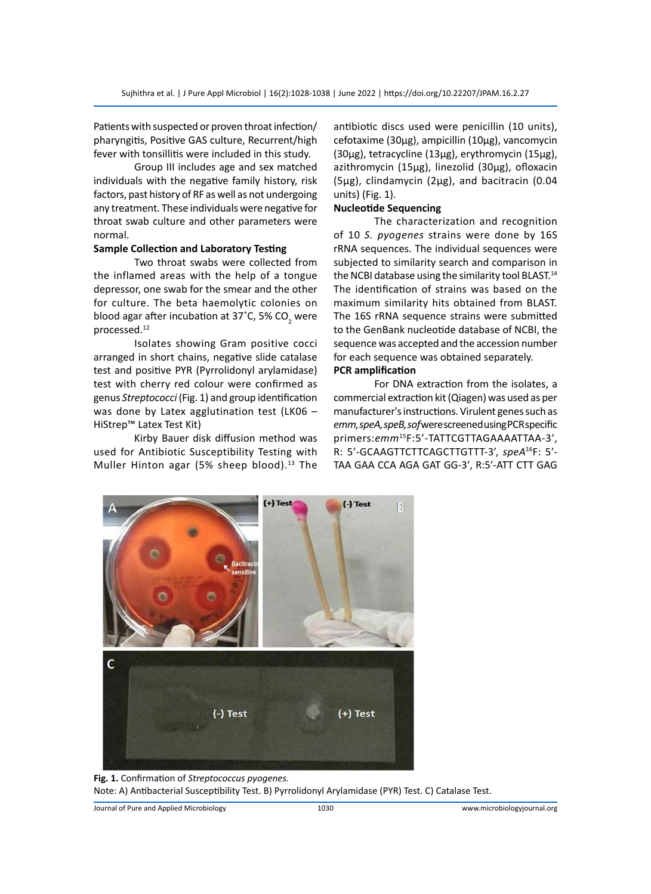Patients with suspected or proven throat infection/ pharyngitis, Positive GAS culture, Recurrent/high fever with tonsillitis were included in this study.

Group III includes age and sex matched individuals with the negative family history, risk factors, past history of RF as well as not undergoing any treatment. These individuals were negative for throat swab culture and other parameters were normal.

# **Sample Collection and Laboratory Testing**

Two throat swabs were collected from the inflamed areas with the help of a tongue depressor, one swab for the smear and the other for culture. The beta haemolytic colonies on blood agar after incubation at 37°C, 5% CO<sub>2</sub> were processed.12

Isolates showing Gram positive cocci arranged in short chains, negative slide catalase test and positive PYR (Pyrrolidonyl arylamidase) test with cherry red colour were confirmed as genus *Streptococci* (Fig. 1) and group identification was done by Latex agglutination test (LK06 – HiStrep™ Latex Test Kit)

Kirby Bauer disk diffusion method was used for Antibiotic Susceptibility Testing with Muller Hinton agar (5% sheep blood). $13$  The antibiotic discs used were penicillin (10 units), cefotaxime (30μg), ampicillin (10μg), vancomycin (30μg), tetracycline (13μg), erythromycin (15μg), azithromycin (15μg), linezolid (30μg), ofloxacin (5μg), clindamycin (2μg), and bacitracin (0.04 units) (Fig. 1).

# **Nucleotide Sequencing**

The characterization and recognition of 10 *S. pyogenes* strains were done by 16S rRNA sequences. The individual sequences were subjected to similarity search and comparison in the NCBI database using the similarity tool BLAST.<sup>14</sup> The identification of strains was based on the maximum similarity hits obtained from BLAST. The 16S rRNA sequence strains were submitted to the GenBank nucleotide database of NCBI, the sequence was accepted and the accession number for each sequence was obtained separately. **PCR amplification**

For DNA extraction from the isolates, a commercial extraction kit (Qiagen) was used as per manufacturer's instructions. Virulent genes such as *emm, speA, speB, sof* were screened using PCR specific primers:*emm*<sup>15</sup>F:5'-TATTCGTTAGAAAATTAA-3′, R: 5'-GCAAGTTCTTCAGCTTGTTT-3', *speA*<sup>16</sup>F: 5′- TAA GAA CCA AGA GAT GG-3′, R:5′-ATT CTT GAG



**Fig. 1.** Confirmation of *Streptococcus pyogenes.* Note: A) Antibacterial Susceptibility Test. B) Pyrrolidonyl Arylamidase (PYR) Test. C) Catalase Test.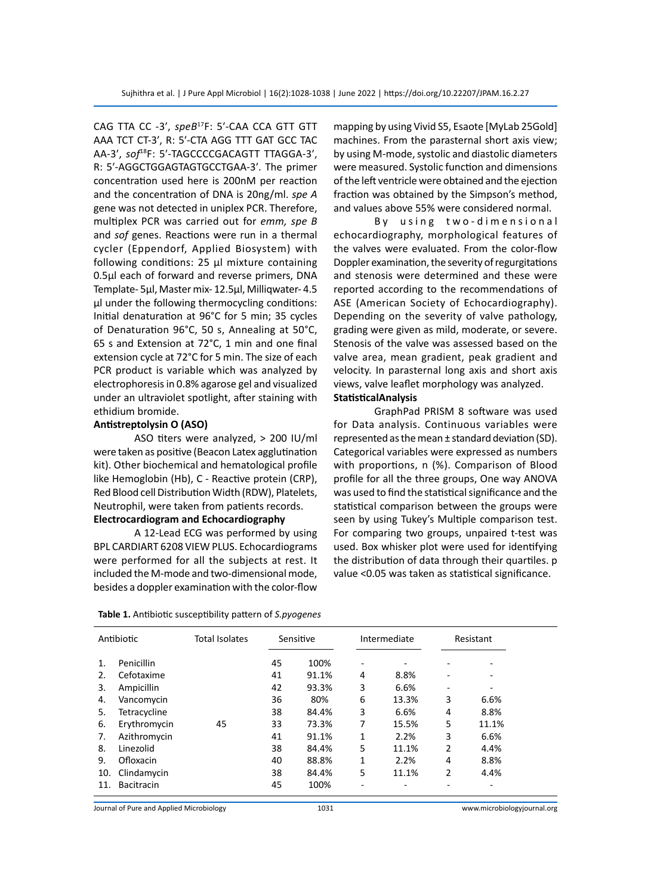CAG TTA CC -3′, *speB*<sup>17</sup>F: 5′-CAA CCA GTT GTT AAA TCT CT-3′, R: 5′-CTA AGG TTT GAT GCC TAC AA-3′, *sof*<sup>18</sup>F: 5′-TAGCCCCGACAGTT TTAGGA-3′, R: 5′-AGGCTGGAGTAGTGCCTGAA-3′. The primer concentration used here is 200nM per reaction and the concentration of DNA is 20ng/ml. *spe A*  gene was not detected in uniplex PCR. Therefore, multiplex PCR was carried out for *emm, spe B*  and *sof* genes. Reactions were run in a thermal cycler (Eppendorf, Applied Biosystem) with following conditions: 25 µl mixture containing 0.5μl each of forward and reverse primers, DNA Template- 5μl, Master mix- 12.5μl, Milliqwater- 4.5 μl under the following thermocycling conditions: Initial denaturation at 96°C for 5 min; 35 cycles of Denaturation 96°C, 50 s, Annealing at 50°C, 65 s and Extension at 72°C, 1 min and one final extension cycle at 72°C for 5 min. The size of each PCR product is variable which was analyzed by electrophoresis in 0.8% agarose gel and visualized under an ultraviolet spotlight, after staining with ethidium bromide.

#### **Antistreptolysin O (ASO)**

ASO titers were analyzed, > 200 IU/ml were taken as positive (Beacon Latex agglutination kit). Other biochemical and hematological profile like Hemoglobin (Hb), C - Reactive protein (CRP), Red Blood cell Distribution Width (RDW), Platelets, Neutrophil, were taken from patients records. **Electrocardiogram and Echocardiography**

A 12-Lead ECG was performed by using BPL CARDIART 6208 VIEW PLUS. Echocardiograms were performed for all the subjects at rest. It included the M-mode and two-dimensional mode, besides a doppler examination with the color-flow

| Table 1. Antibiotic susceptibility pattern of S.pyogenes |  |  |
|----------------------------------------------------------|--|--|
|----------------------------------------------------------|--|--|

mapping by using Vivid S5, Esaote [MyLab 25Gold] machines. From the parasternal short axis view; by using M-mode, systolic and diastolic diameters were measured. Systolic function and dimensions of the left ventricle were obtained and the ejection fraction was obtained by the Simpson's method, and values above 55% were considered normal.

By using two-dimensional echocardiography, morphological features of the valves were evaluated. From the color-flow Doppler examination, the severity of regurgitations and stenosis were determined and these were reported according to the recommendations of ASE (American Society of Echocardiography). Depending on the severity of valve pathology, grading were given as mild, moderate, or severe. Stenosis of the valve was assessed based on the valve area, mean gradient, peak gradient and velocity. In parasternal long axis and short axis views, valve leaflet morphology was analyzed.

# **StatisticalAnalysis**

GraphPad PRISM 8 software was used for Data analysis. Continuous variables were represented as the mean ± standard deviation (SD). Categorical variables were expressed as numbers with proportions, n (%). Comparison of Blood profile for all the three groups, One way ANOVA was used to find the statistical significance and the statistical comparison between the groups were seen by using Tukey's Multiple comparison test. For comparing two groups, unpaired t-test was used. Box whisker plot were used for identifying the distribution of data through their quartiles. p value <0.05 was taken as statistical significance.

|     | Antibiotic        | Total Isolates |    | Sensitive |   | Intermediate |                          | Resistant |
|-----|-------------------|----------------|----|-----------|---|--------------|--------------------------|-----------|
| 1.  | Penicillin        |                | 45 | 100%      | ۰ |              |                          |           |
| 2.  | Cefotaxime        |                | 41 | 91.1%     | 4 | 8.8%         | $\overline{\phantom{0}}$ |           |
| 3.  | Ampicillin        |                | 42 | 93.3%     | 3 | 6.6%         | $\overline{\phantom{a}}$ | ۰         |
| 4.  | Vancomycin        |                | 36 | 80%       | 6 | 13.3%        | 3                        | 6.6%      |
| 5.  | Tetracycline      |                | 38 | 84.4%     | 3 | 6.6%         | 4                        | 8.8%      |
| 6.  | Erythromycin      | 45             | 33 | 73.3%     | 7 | 15.5%        | 5                        | 11.1%     |
| 7.  | Azithromycin      |                | 41 | 91.1%     | 1 | 2.2%         | 3                        | 6.6%      |
| 8.  | Linezolid         |                | 38 | 84.4%     | 5 | 11.1%        | 2                        | 4.4%      |
| 9.  | Ofloxacin         |                | 40 | 88.8%     | 1 | 2.2%         | 4                        | 8.8%      |
| 10. | Clindamycin       |                | 38 | 84.4%     | 5 | 11.1%        | 2                        | 4.4%      |
| 11. | <b>Bacitracin</b> |                | 45 | 100%      |   |              |                          |           |

Journal of Pure and Applied Microbiology 1031 www.microbiologyjournal.org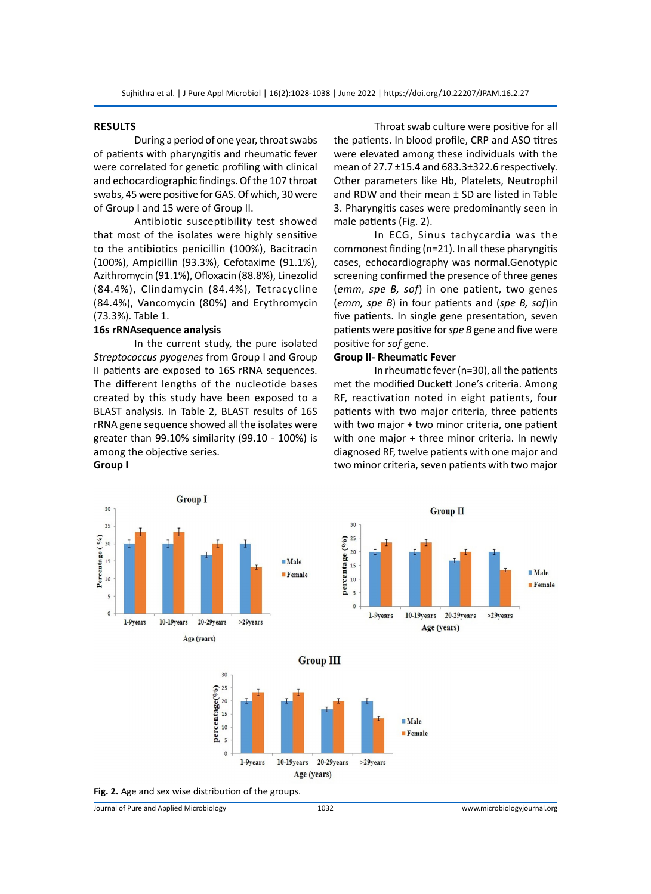# **Results**

During a period of one year, throat swabs of patients with pharyngitis and rheumatic fever were correlated for genetic profiling with clinical and echocardiographic findings. Of the 107 throat swabs, 45 were positive for GAS. Of which, 30 were of Group I and 15 were of Group II.

Antibiotic susceptibility test showed that most of the isolates were highly sensitive to the antibiotics penicillin (100%), Bacitracin (100%), Ampicillin (93.3%), Cefotaxime (91.1%), Azithromycin (91.1%), Ofloxacin (88.8%), Linezolid (84.4%), Clindamycin (84.4%), Tetracycline (84.4%), Vancomycin (80%) and Erythromycin (73.3%). Table 1.

#### **16s rRNAsequence analysis**

In the current study, the pure isolated *Streptococcus pyogenes* from Group I and Group II patients are exposed to 16S rRNA sequences. The different lengths of the nucleotide bases created by this study have been exposed to a BLAST analysis. In Table 2, BLAST results of 16S rRNA gene sequence showed all the isolates were greater than 99.10% similarity (99.10 - 100%) is among the objective series. **Group I**

Throat swab culture were positive for all the patients. In blood profile, CRP and ASO titres were elevated among these individuals with the mean of 27.7 ±15.4 and 683.3±322.6 respectively. Other parameters like Hb, Platelets, Neutrophil and RDW and their mean  $\pm$  SD are listed in Table 3. Pharyngitis cases were predominantly seen in male patients (Fig. 2).

In ECG, Sinus tachycardia was the commonest finding (n=21). In all these pharyngitis cases, echocardiography was normal.Genotypic screening confirmed the presence of three genes (*emm, spe B, sof*) in one patient, two genes (*emm, spe B*) in four patients and (*spe B, sof*)in five patients. In single gene presentation, seven patients were positive for *spe B* gene and five were positive for *sof* gene.

#### **Group II- Rheumatic Fever**

In rheumatic fever (n=30), all the patients met the modified Duckett Jone's criteria. Among RF, reactivation noted in eight patients, four patients with two major criteria, three patients with two major + two minor criteria, one patient with one major + three minor criteria. In newly diagnosed RF, twelve patients with one major and two minor criteria, seven patients with two major

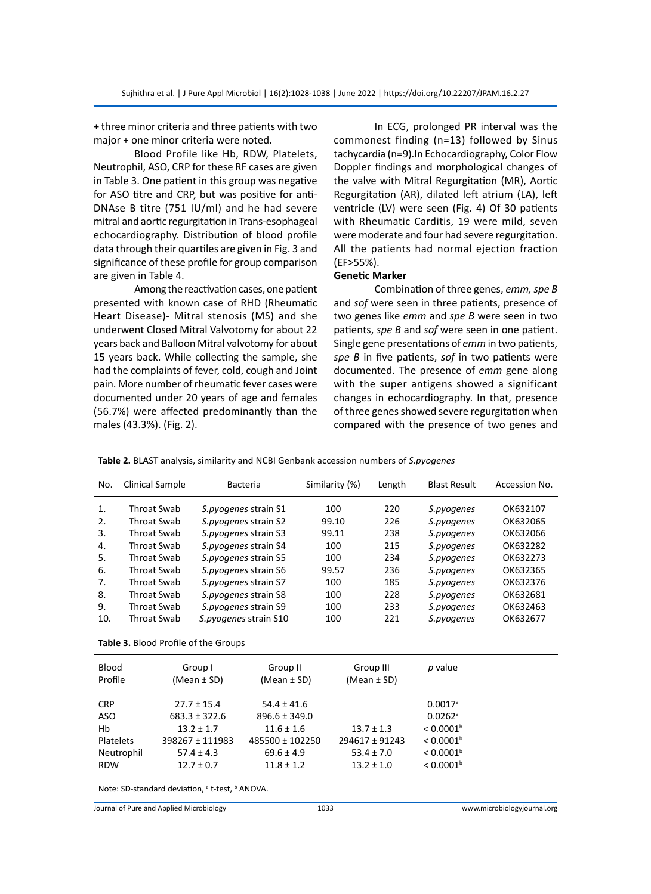+ three minor criteria and three patients with two major + one minor criteria were noted.

Blood Profile like Hb, RDW, Platelets, Neutrophil, ASO, CRP for these RF cases are given in Table 3. One patient in this group was negative for ASO titre and CRP, but was positive for anti-DNAse B titre (751 IU/ml) and he had severe mitral and aortic regurgitation in Trans-esophageal echocardiography. Distribution of blood profile data through their quartiles are given in Fig. 3 and significance of these profile for group comparison are given in Table 4.

Among the reactivation cases, one patient presented with known case of RHD (Rheumatic Heart Disease)- Mitral stenosis (MS) and she underwent Closed Mitral Valvotomy for about 22 years back and Balloon Mitral valvotomy for about 15 years back. While collecting the sample, she had the complaints of fever, cold, cough and Joint pain. More number of rheumatic fever cases were documented under 20 years of age and females (56.7%) were affected predominantly than the males (43.3%). (Fig. 2).

In ECG, prolonged PR interval was the commonest finding (n=13) followed by Sinus tachycardia (n=9).In Echocardiography, Color Flow Doppler findings and morphological changes of the valve with Mitral Regurgitation (MR), Aortic Regurgitation (AR), dilated left atrium (LA), left ventricle (LV) were seen (Fig. 4) Of 30 patients with Rheumatic Carditis, 19 were mild, seven were moderate and four had severe regurgitation. All the patients had normal ejection fraction (EF>55%).

### **Genetic Marker**

Combination of three genes, *emm, spe B* and *sof* were seen in three patients, presence of two genes like *emm* and *spe B* were seen in two patients, *spe B* and *sof* were seen in one patient. Single gene presentations of *emm* in two patients, *spe B* in five patients, *sof* in two patients were documented. The presence of *emm* gene along with the super antigens showed a significant changes in echocardiography. In that, presence of three genes showed severe regurgitation when compared with the presence of two genes and

| Table 2. BLAST analysis, similarity and NCBI Genbank accession numbers of S.pyogenes |  |  |  |  |  |  |  |
|--------------------------------------------------------------------------------------|--|--|--|--|--|--|--|
|--------------------------------------------------------------------------------------|--|--|--|--|--|--|--|

| No.        | Clinical Sample                             |                   | <b>Bacteria</b>        | Similarity (%) | Length          | <b>Blast Result</b>     | Accession No. |
|------------|---------------------------------------------|-------------------|------------------------|----------------|-----------------|-------------------------|---------------|
| 1.         | <b>Throat Swab</b>                          |                   | S.pyogenes strain S1   | 100            | 220             | S.pyogenes              | OK632107      |
| 2.         | Throat Swab                                 |                   | S.pyogenes strain S2   | 99.10          | 226             | S.pyogenes              | OK632065      |
| 3.         | Throat Swab                                 |                   | S.pyogenes strain S3   | 99.11          | 238             | S.pyogenes              | OK632066      |
| 4.         | Throat Swab                                 |                   | S.pyogenes strain S4   | 100            | 215             | S.pyogenes              | OK632282      |
| 5.         | Throat Swab                                 |                   | S.pyogenes strain S5   | 100            | 234             | S.pyogenes              | OK632273      |
| 6.         | Throat Swab                                 |                   | S.pyogenes strain S6   | 99.57          | 236             | S.pyogenes              | OK632365      |
| 7.         | <b>Throat Swab</b>                          |                   | S.pyogenes strain S7   | 100            | 185             | S.pyogenes              | OK632376      |
| 8.         | Throat Swab                                 |                   | S.pyogenes strain S8   | 100            | 228             | S.pyogenes              | OK632681      |
| 9.         | Throat Swab                                 |                   | S.pyogenes strain S9   | 100            | 233             | S.pyogenes              | OK632463      |
| 10.        | Throat Swab                                 |                   | S. pyogenes strain S10 | 100            | 221             | S.pyogenes              | OK632677      |
|            | <b>Table 3.</b> Blood Profile of the Groups |                   |                        |                |                 |                         |               |
| Blood      |                                             | Group I           | Group II               |                | Group III       | p value                 |               |
| Profile    |                                             | (Mean $\pm$ SD)   | (Mean $\pm$ SD)        |                | (Mean $\pm$ SD) |                         |               |
| <b>CRP</b> |                                             | $27.7 \pm 15.4$   | $54.4 \pm 41.6$        |                |                 | $0.0017$ <sup>a</sup>   |               |
| <b>ASO</b> |                                             | $683.3 \pm 322.6$ | $896.6 \pm 349.0$      |                |                 | $0.0262$ <sup>a</sup>   |               |
| Hb         |                                             | $13.2 \pm 1.7$    | $11.6 \pm 1.6$         |                | $13.7 \pm 1.3$  | $< 0.0001$ <sup>b</sup> |               |
| Platelets  |                                             | 398267 ± 111983   | 485500 ± 102250        |                | 294617 ± 91243  | < 0.0001 <sup>b</sup>   |               |

Note: SD-standard deviation, a t-test, **b ANOVA**.

Journal of Pure and Applied Microbiology 1033 www.microbiologyjournal.org

Neutrophil  $57.4 \pm 4.3$   $69.6 \pm 4.9$   $53.4 \pm 7.0$   $< 0.0001^{\circ}$ RDW  $12.7 \pm 0.7$   $11.8 \pm 1.2$   $13.2 \pm 1.0$   $< 0.0001^{\text{b}}$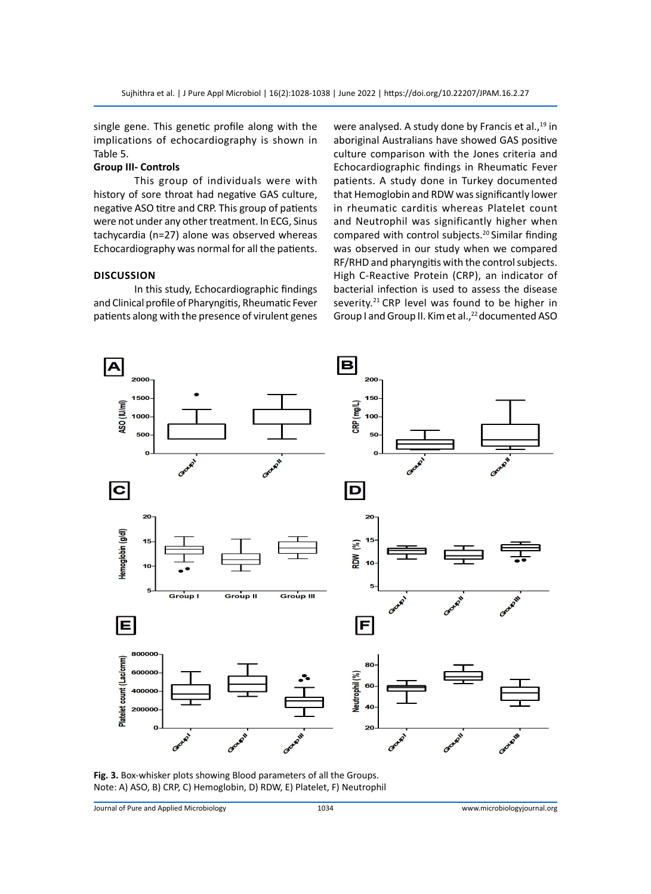single gene. This genetic profile along with the implications of echocardiography is shown in Table 5.

#### **Group III- Controls**

This group of individuals were with history of sore throat had negative GAS culture, negative ASO titre and CRP. This group of patients were not under any other treatment. In ECG, Sinus tachycardia (n=27) alone was observed whereas Echocardiography was normal for all the patients.

# **Discussion**

In this study, Echocardiographic findings and Clinical profile of Pharyngitis, Rheumatic Fever patients along with the presence of virulent genes were analysed. A study done by Francis et al.,<sup>19</sup> in aboriginal Australians have showed GAS positive culture comparison with the Jones criteria and Echocardiographic findings in Rheumatic Fever patients. A study done in Turkey documented that Hemoglobin and RDW was significantly lower in rheumatic carditis whereas Platelet count and Neutrophil was significantly higher when compared with control subjects.<sup>20</sup> Similar finding was observed in our study when we compared RF/RHD and pharyngitis with the control subjects. High C-Reactive Protein (CRP), an indicator of bacterial infection is used to assess the disease severity.<sup>21</sup> CRP level was found to be higher in Group I and Group II. Kim et al.,<sup>22</sup> documented ASO



**Fig. 3.** Box-whisker plots showing Blood parameters of all the Groups. Note: A) ASO, B) CRP, C) Hemoglobin, D) RDW, E) Platelet, F) Neutrophil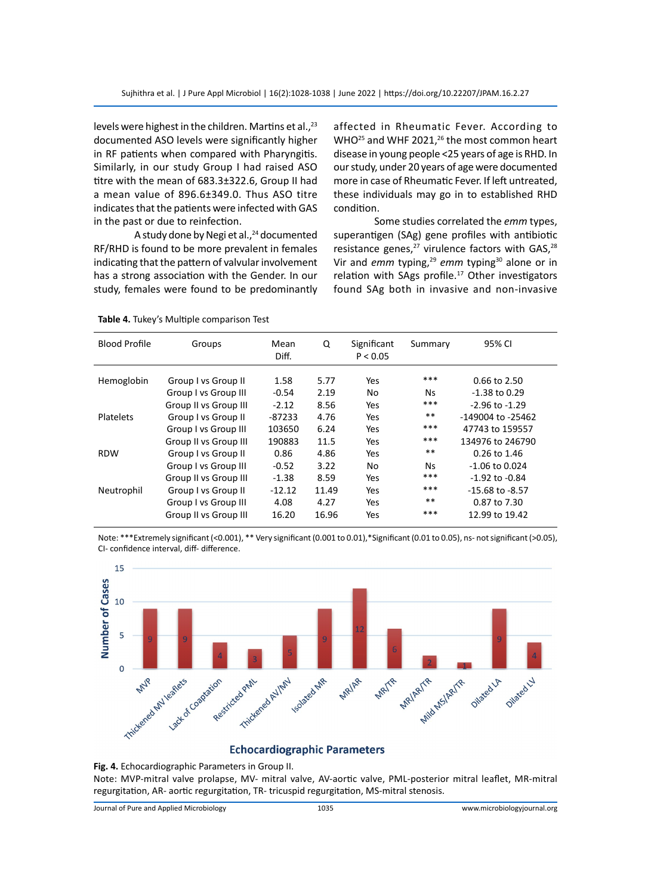levels were highest in the children. Martins et al.,<sup>23</sup> documented ASO levels were significantly higher in RF patients when compared with Pharyngitis. Similarly, in our study Group I had raised ASO titre with the mean of 683.3±322.6, Group II had a mean value of 896.6±349.0. Thus ASO titre indicates that the patients were infected with GAS in the past or due to reinfection.

A study done by Negi et al., $24$  documented RF/RHD is found to be more prevalent in females indicating that the pattern of valvular involvement has a strong association with the Gender. In our study, females were found to be predominantly affected in Rheumatic Fever. According to WHO<sup>25</sup> and WHF 2021,<sup>26</sup> the most common heart disease in young people <25 years of age is RHD. In our study, under 20 years of age were documented more in case of Rheumatic Fever. If left untreated, these individuals may go in to established RHD condition.

Some studies correlated the *emm* types, superantigen (SAg) gene profiles with antibiotic resistance genes, $27$  virulence factors with GAS, $28$ Vir and *emm* typing,<sup>29</sup> *emm* typing<sup>30</sup> alone or in relation with SAgs profile. $17$  Other investigators found SAg both in invasive and non-invasive

| <b>Blood Profile</b> | Groups                | Mean<br>Diff. | Q     | Significant<br>P < 0.05 | Summary | 95% CI              |
|----------------------|-----------------------|---------------|-------|-------------------------|---------|---------------------|
| Hemoglobin           | Group I vs Group II   | 1.58          | 5.77  | Yes                     | ***     | $0.66$ to $2.50$    |
|                      | Group I vs Group III  | $-0.54$       | 2.19  | No                      | Ns.     | $-1.38$ to 0.29     |
|                      | Group II vs Group III | $-2.12$       | 8.56  | Yes                     | ***     | $-2.96$ to $-1.29$  |
| Platelets            | Group I vs Group II   | $-87233$      | 4.76  | Yes                     | **      | -149004 to -25462   |
|                      | Group I vs Group III  | 103650        | 6.24  | Yes                     | ***     | 47743 to 159557     |
|                      | Group II vs Group III | 190883        | 11.5  | Yes                     | ***     | 134976 to 246790    |
| <b>RDW</b>           | Group I vs Group II   | 0.86          | 4.86  | Yes                     | **      | $0.26$ to 1.46      |
|                      | Group I vs Group III  | $-0.52$       | 3.22  | No.                     | Ns.     | $-1.06$ to 0.024    |
|                      | Group II vs Group III | $-1.38$       | 8.59  | Yes                     | ***     | $-1.92$ to $-0.84$  |
| Neutrophil           | Group I vs Group II   | $-12.12$      | 11.49 | Yes                     | ***     | $-15.68$ to $-8.57$ |
|                      | Group I vs Group III  | 4.08          | 4.27  | Yes                     | $**$    | 0.87 to 7.30        |
|                      | Group II vs Group III | 16.20         | 16.96 | Yes                     | ***     | 12.99 to 19.42      |

**Table 4.** Tukey's Multiple comparison Test

Note: \*\*\*Extremely significant (<0.001), \*\* Very significant (0.001 to 0.01),\*Significant (0.01 to 0.05), ns- not significant (>0.05), CI- confidence interval, diff- difference.



### **Echocardiographic Parameters**

**Fig. 4.** Echocardiographic Parameters in Group II.

Note: MVP-mitral valve prolapse, MV- mitral valve, AV-aortic valve, PML-posterior mitral leaflet, MR-mitral regurgitation, AR- aortic regurgitation, TR- tricuspid regurgitation, MS-mitral stenosis.

Journal of Pure and Applied Microbiology 1035 www.microbiologyjournal.org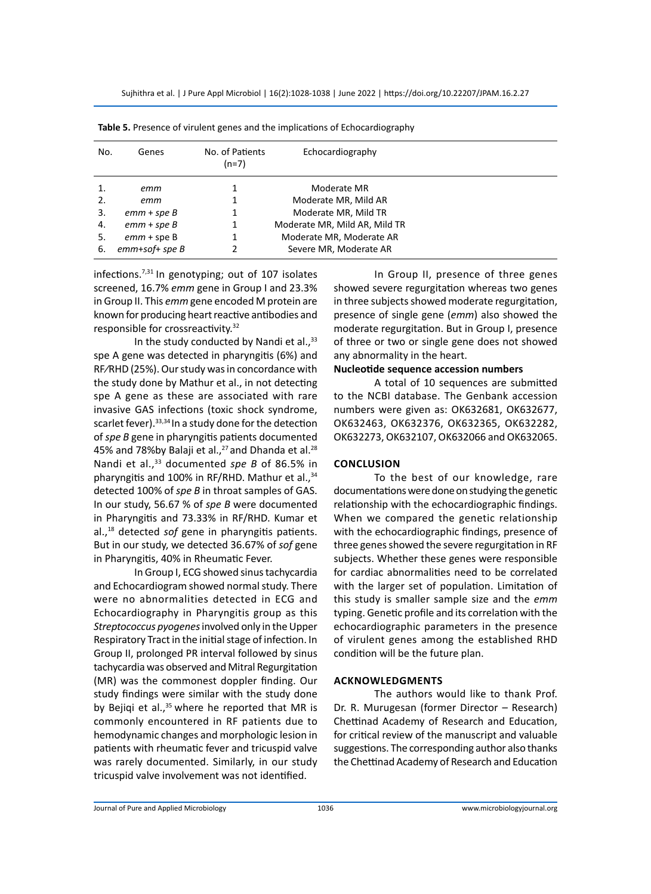| No. | Genes            | No. of Patients<br>$(n=7)$ | Echocardiography              |  |
|-----|------------------|----------------------------|-------------------------------|--|
|     | emm              |                            | Moderate MR                   |  |
| 2.  | emm              |                            | Moderate MR, Mild AR          |  |
| 3.  | $emm + speB$     |                            | Moderate MR, Mild TR          |  |
| 4.  | $emm + speB$     |                            | Moderate MR, Mild AR, Mild TR |  |
| 5.  | $emm + speB$     |                            | Moderate MR, Moderate AR      |  |
| 6.  | $emm+soft$ spe B |                            | Severe MR, Moderate AR        |  |

| Table 5. Presence of virulent genes and the implications of Echocardiography |  |
|------------------------------------------------------------------------------|--|
|------------------------------------------------------------------------------|--|

infections.7,31 In genotyping; out of 107 isolates screened, 16.7% *emm* gene in Group I and 23.3% in Group II. This *emm* gene encoded M protein are known for producing heart reactive antibodies and responsible for crossreactivity.<sup>32</sup>

In the study conducted by Nandi et al., $33$ spe A gene was detected in pharyngitis (6%) and RF⁄RHD (25%). Our study was in concordance with the study done by Mathur et al., in not detecting spe A gene as these are associated with rare invasive GAS infections (toxic shock syndrome, scarlet fever).  $33,34$  In a study done for the detection of *spe B* gene in pharyngitis patients documented 45% and 78% by Balaji et al., $^{27}$  and Dhanda et al. $^{28}$ Nandi et al.,<sup>33</sup> documented *spe B* of 86.5% in pharyngitis and 100% in RF/RHD. Mathur et al.,<sup>34</sup> detected 100% of *spe B* in throat samples of GAS. In our study, 56.67 % of *spe B* were documented in Pharyngitis and 73.33% in RF/RHD. Kumar et al.,18 detected *sof* gene in pharyngitis patients. But in our study, we detected 36.67% of *sof* gene in Pharyngitis, 40% in Rheumatic Fever.

In Group I, ECG showed sinus tachycardia and Echocardiogram showed normal study. There were no abnormalities detected in ECG and Echocardiography in Pharyngitis group as this *Streptococcus pyogenes* involved only in the Upper Respiratory Tract in the initial stage of infection. In Group II, prolonged PR interval followed by sinus tachycardia was observed and Mitral Regurgitation (MR) was the commonest doppler finding. Our study findings were similar with the study done by Bejiqi et al., $35$  where he reported that MR is commonly encountered in RF patients due to hemodynamic changes and morphologic lesion in patients with rheumatic fever and tricuspid valve was rarely documented. Similarly, in our study tricuspid valve involvement was not identified.

In Group II, presence of three genes showed severe regurgitation whereas two genes in three subjects showed moderate regurgitation, presence of single gene (*emm*) also showed the moderate regurgitation. But in Group I, presence of three or two or single gene does not showed any abnormality in the heart.

## **Nucleotide sequence accession numbers**

A total of 10 sequences are submitted to the NCBI database. The Genbank accession numbers were given as: OK632681, OK632677, OK632463, OK632376, OK632365, OK632282, OK632273, OK632107, OK632066 and OK632065.

#### **Conclusion**

To the best of our knowledge, rare documentations were done on studying the genetic relationship with the echocardiographic findings. When we compared the genetic relationship with the echocardiographic findings, presence of three genes showed the severe regurgitation in RF subjects. Whether these genes were responsible for cardiac abnormalities need to be correlated with the larger set of population. Limitation of this study is smaller sample size and the *emm* typing. Genetic profile and its correlation with the echocardiographic parameters in the presence of virulent genes among the established RHD condition will be the future plan.

#### **Acknowledgments**

The authors would like to thank Prof. Dr. R. Murugesan (former Director – Research) Chettinad Academy of Research and Education, for critical review of the manuscript and valuable suggestions. The corresponding author also thanks the Chettinad Academy of Research and Education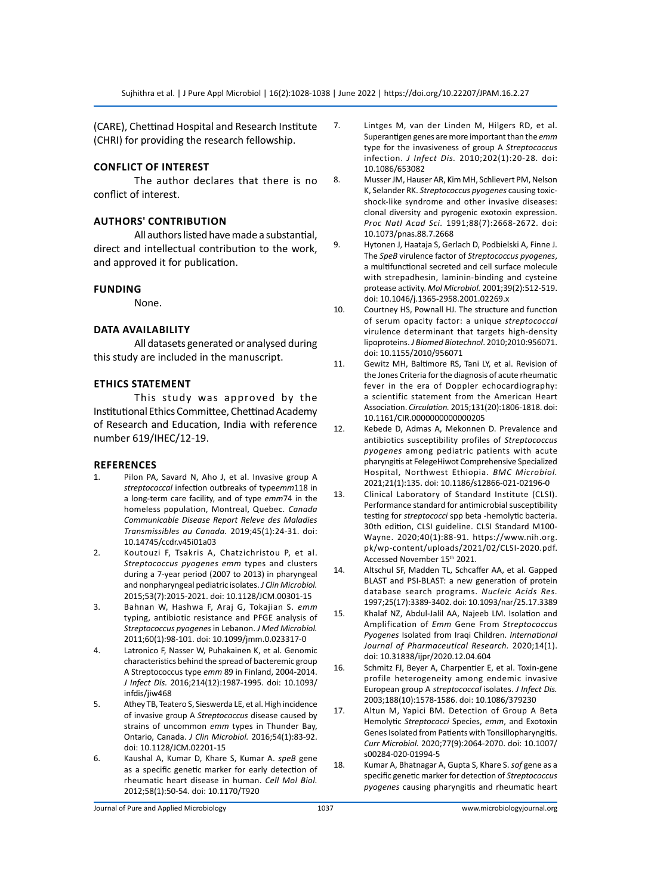(CARE), Chettinad Hospital and Research Institute (CHRI) for providing the research fellowship.

# **Conflict of Interest**

The author declares that there is no conflict of interest.

### **Authors' Contribution**

All authors listed have made a substantial, direct and intellectual contribution to the work, and approved it for publication.

#### **Funding**

None.

#### **DATA Availability**

All datasets generated or analysed during this study are included in the manuscript.

#### **Ethics Statement**

This study was approved by the Institutional Ethics Committee, Chettinad Academy of Research and Education, India with reference number 619/IHEC/12-19.

#### **References**

- 1. Pilon PA, Savard N, Aho J, et al. Invasive group A *streptococcal* infection outbreaks of type*emm*118 in a long-term care facility, and of type *emm*74 in the homeless population, Montreal, Quebec. *Canada Communicable Disease Report Releve des Maladies Transmissibles au Canada.* 2019;45(1):24-31. doi: 10.14745/ccdr.v45i01a03
- 2. Koutouzi F, Tsakris A, Chatzichristou P, et al. *Streptococcus pyogenes emm* types and clusters during a 7-year period (2007 to 2013) in pharyngeal and nonpharyngeal pediatric isolates. *J Clin Microbiol.* 2015;53(7):2015-2021. doi: 10.1128/JCM.00301-15
- 3. Bahnan W, Hashwa F, Araj G, Tokajian S. *emm* typing, antibiotic resistance and PFGE analysis of *Streptococcus pyogenes* in Lebanon. *J Med Microbiol.* 2011;60(1):98-101. doi: 10.1099/jmm.0.023317-0
- 4. Latronico F, Nasser W, Puhakainen K, et al. Genomic characteristics behind the spread of bacteremic group A Streptococcus type *emm* 89 in Finland, 2004-2014. *J Infect Dis.* 2016;214(12):1987-1995. doi: 10.1093/ infdis/jiw468
- 5. Athey TB, Teatero S, Sieswerda LE, et al. High incidence of invasive group A *Streptococcus* disease caused by strains of uncommon *emm* types in Thunder Bay, Ontario, Canada. *J Clin Microbiol.* 2016;54(1):83-92. doi: 10.1128/JCM.02201-15
- 6. Kaushal A, Kumar D, Khare S, Kumar A. *speB* gene as a specific genetic marker for early detection of rheumatic heart disease in human. *Cell Mol Biol.* 2012;58(1):50-54. doi: 10.1170/T920
- 7. Lintges M, van der Linden M, Hilgers RD, et al. Superantigen genes are more important than the *emm* type for the invasiveness of group A *Streptococcus*  infection. *J Infect Dis.* 2010;202(1):20-28. doi: 10.1086/653082
- 8. Musser JM, Hauser AR, Kim MH, Schlievert PM, Nelson K, Selander RK. *Streptococcus pyogenes* causing toxicshock-like syndrome and other invasive diseases: clonal diversity and pyrogenic exotoxin expression. *Proc Natl Acad Sci.* 1991;88(7):2668-2672. doi: 10.1073/pnas.88.7.2668
- 9. Hytonen J, Haataja S, Gerlach D, Podbielski A, Finne J. The *SpeB* virulence factor of *Streptococcus pyogenes*, a multifunctional secreted and cell surface molecule with strepadhesin, laminin-binding and cysteine protease activity. *Mol Microbiol.* 2001;39(2):512-519. doi: 10.1046/j.1365-2958.2001.02269.x
- 10. Courtney HS, Pownall HJ. The structure and function of serum opacity factor: a unique *streptococcal* virulence determinant that targets high-density lipoproteins. *J Biomed Biotechnol*. 2010;2010:956071. doi: 10.1155/2010/956071
- 11. Gewitz MH, Baltimore RS, Tani LY, et al. Revision of the Jones Criteria for the diagnosis of acute rheumatic fever in the era of Doppler echocardiography: a scientific statement from the American Heart Association. *Circulation.* 2015;131(20):1806-1818. doi: 10.1161/CIR.0000000000000205
- 12. Kebede D, Admas A, Mekonnen D. Prevalence and antibiotics susceptibility profiles of *Streptococcus pyogenes* among pediatric patients with acute pharyngitis at FelegeHiwot Comprehensive Specialized Hospital, Northwest Ethiopia. *BMC Microbiol.* 2021;21(1):135. doi: 10.1186/s12866-021-02196-0
- 13. Clinical Laboratory of Standard Institute (CLSI). Performance standard for antimicrobial susceptibility testing for *streptococci* spp beta -hemolytic bacteria. 30th edition, CLSI guideline. CLSI Standard M100- Wayne. 2020;40(1):88-91. https://www.nih.org. pk/wp-content/uploads/2021/02/CLSI-2020.pdf. Accessed November 15th 2021.
- 14. Altschul SF, Madden TL, Schcaffer AA, et al. Gapped BLAST and PSI-BLAST: a new generation of protein database search programs. *Nucleic Acids Res.*  1997;25(17):3389-3402. doi: 10.1093/nar/25.17.3389
- 15. Khalaf NZ, Abdul-Jalil AA, Najeeb LM. Isolation and Amplification of *Emm* Gene From *Streptococcus Pyogenes* Isolated from Iraqi Children. *International Journal of Pharmaceutical Research.* 2020;14(1). doi: 10.31838/ijpr/2020.12.04.604
- 16. Schmitz FJ, Beyer A, Charpentier E, et al. Toxin-gene profile heterogeneity among endemic invasive European group A *streptococcal* isolates. *J Infect Dis.* 2003;188(10):1578-1586. doi: 10.1086/379230
- 17. Altun M, Yapici BM. Detection of Group A Beta Hemolytic *Streptococci* Species, *emm*, and Exotoxin Genes Isolated from Patients with Tonsillopharyngitis. *Curr Microbiol.* 2020;77(9):2064-2070. doi: 10.1007/ s00284-020-01994-5
- 18. Kumar A, Bhatnagar A, Gupta S, Khare S. *sof* gene as a specific genetic marker for detection of *Streptococcus pyogenes* causing pharyngitis and rheumatic heart